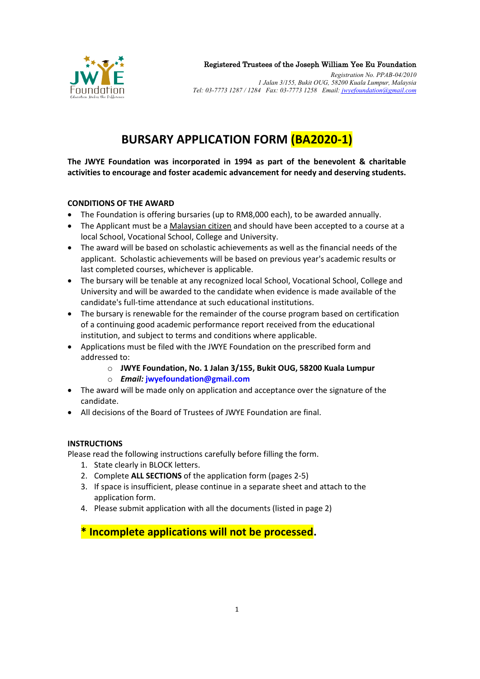

Registered Trustees of the Joseph William Yee Eu Foundation

*Registration No. PPAB-04/2010 1 Jalan 3/155, Bukit OUG, 58200 Kuala Lumpur, Malaysia Tel: 03-7773 1287 / 1284 Fax: 03-7773 1258 Email: jwyefoundation@gmail.com*

## **BURSARY APPLICATION FORM (BA2020-1)**

**The JWYE Foundation was incorporated in 1994 as part of the benevolent & charitable activities to encourage and foster academic advancement for needy and deserving students.**

## **CONDITIONS OF THE AWARD**

- The Foundation is offering bursaries (up to RM8,000 each), to be awarded annually.
- The Applicant must be a Malaysian citizen and should have been accepted to a course at a local School, Vocational School, College and University.
- The award will be based on scholastic achievements as well as the financial needs of the applicant. Scholastic achievements will be based on previous year's academic results or last completed courses, whichever is applicable.
- The bursary will be tenable at any recognized local School, Vocational School, College and University and will be awarded to the candidate when evidence is made available of the candidate's full-time attendance at such educational institutions.
- The bursary is renewable for the remainder of the course program based on certification of a continuing good academic performance report received from the educational institution, and subject to terms and conditions where applicable.
- Applications must be filed with the JWYE Foundation on the prescribed form and addressed to:
	- o **JWYE Foundation, No. 1 Jalan 3/155, Bukit OUG, 58200 Kuala Lumpur**
	- o *Email:* **jwyefoundation@gmail.com**
- The award will be made only on application and acceptance over the signature of the candidate.
- All decisions of the Board of Trustees of JWYE Foundation are final.

## **INSTRUCTIONS**

Please read the following instructions carefully before filling the form.

- 1. State clearly in BLOCK letters.
- 2. Complete **ALL SECTIONS** of the application form (pages 2-5)
- 3. If space is insufficient, please continue in a separate sheet and attach to the application form.
- 4. Please submit application with all the documents (listed in page 2)

**\* Incomplete applications will not be processed.**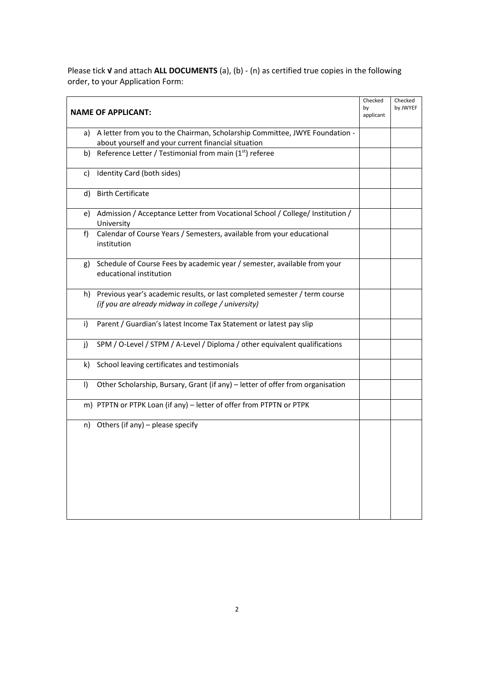Please tick **√** and attach **ALL DOCUMENTS** (a), (b) - (n) as certified true copies in the following order, to your Application Form:

| <b>NAME OF APPLICANT:</b>                                                                                                                | Checked<br>by<br>applicant | Checked<br>by JWYEF |
|------------------------------------------------------------------------------------------------------------------------------------------|----------------------------|---------------------|
| A letter from you to the Chairman, Scholarship Committee, JWYE Foundation -<br>a)<br>about yourself and your current financial situation |                            |                     |
| Reference Letter / Testimonial from main (1 <sup>st</sup> ) referee<br>b)                                                                |                            |                     |
| Identity Card (both sides)<br>c)                                                                                                         |                            |                     |
| <b>Birth Certificate</b><br>d)                                                                                                           |                            |                     |
| e) Admission / Acceptance Letter from Vocational School / College/ Institution /<br>University                                           |                            |                     |
| Calendar of Course Years / Semesters, available from your educational<br>f)<br>institution                                               |                            |                     |
| Schedule of Course Fees by academic year / semester, available from your<br>g)<br>educational institution                                |                            |                     |
| Previous year's academic results, or last completed semester / term course<br>h)<br>(if you are already midway in college / university)  |                            |                     |
| Parent / Guardian's latest Income Tax Statement or latest pay slip<br>i)                                                                 |                            |                     |
| SPM / O-Level / STPM / A-Level / Diploma / other equivalent qualifications<br>i)                                                         |                            |                     |
| School leaving certificates and testimonials<br>k)                                                                                       |                            |                     |
| Other Scholarship, Bursary, Grant (if any) - letter of offer from organisation<br>$\vert$                                                |                            |                     |
| m) PTPTN or PTPK Loan (if any) - letter of offer from PTPTN or PTPK                                                                      |                            |                     |
| Others (if any) – please specify<br>n)                                                                                                   |                            |                     |
|                                                                                                                                          |                            |                     |
|                                                                                                                                          |                            |                     |
|                                                                                                                                          |                            |                     |
|                                                                                                                                          |                            |                     |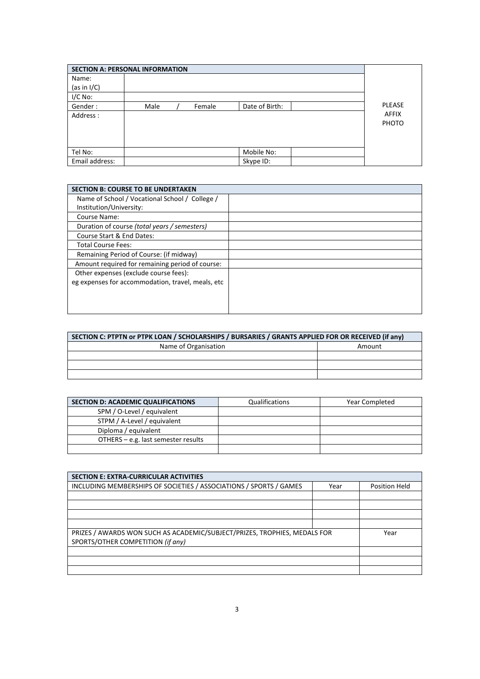| <b>SECTION A: PERSONAL INFORMATION</b> |      |        |                |                              |
|----------------------------------------|------|--------|----------------|------------------------------|
| Name:                                  |      |        |                |                              |
| (as in $I/C$ )                         |      |        |                |                              |
| $I/C$ No:                              |      |        |                |                              |
| Gender:                                | Male | Female | Date of Birth: | <b>PLEASE</b>                |
| Address :                              |      |        |                | <b>AFFIX</b><br><b>PHOTO</b> |
|                                        |      |        |                |                              |
|                                        |      |        |                |                              |
| Tel No:                                |      |        | Mobile No:     |                              |
| Email address:                         |      |        | Skype ID:      |                              |

| <b>SECTION B: COURSE TO BE UNDERTAKEN</b>         |  |
|---------------------------------------------------|--|
| Name of School / Vocational School / College /    |  |
| Institution/University:                           |  |
| Course Name:                                      |  |
| Duration of course (total years / semesters)      |  |
| Course Start & End Dates:                         |  |
| <b>Total Course Fees:</b>                         |  |
| Remaining Period of Course: (if midway)           |  |
| Amount required for remaining period of course:   |  |
| Other expenses (exclude course fees):             |  |
| eg expenses for accommodation, travel, meals, etc |  |
|                                                   |  |
|                                                   |  |
|                                                   |  |

| SECTION C: PTPTN or PTPK LOAN / SCHOLARSHIPS / BURSARIES / GRANTS APPLIED FOR OR RECEIVED (if any) |        |  |  |  |
|----------------------------------------------------------------------------------------------------|--------|--|--|--|
| Name of Organisation                                                                               | Amount |  |  |  |
|                                                                                                    |        |  |  |  |
|                                                                                                    |        |  |  |  |
|                                                                                                    |        |  |  |  |

| <b>SECTION D: ACADEMIC QUALIFICATIONS</b> | Qualifications | <b>Year Completed</b> |
|-------------------------------------------|----------------|-----------------------|
| SPM / O-Level / equivalent                |                |                       |
| STPM / A-Level / equivalent               |                |                       |
| Diploma / equivalent                      |                |                       |
| OTHERS - e.g. last semester results       |                |                       |
|                                           |                |                       |

| <b>SECTION E: EXTRA-CURRICULAR ACTIVITIES</b>                             |      |               |
|---------------------------------------------------------------------------|------|---------------|
| INCLUDING MEMBERSHIPS OF SOCIETIES / ASSOCIATIONS / SPORTS / GAMES        | Year | Position Held |
|                                                                           |      |               |
|                                                                           |      |               |
|                                                                           |      |               |
|                                                                           |      |               |
| PRIZES / AWARDS WON SUCH AS ACADEMIC/SUBJECT/PRIZES, TROPHIES, MEDALS FOR |      | Year          |
| SPORTS/OTHER COMPETITION (if any)                                         |      |               |
|                                                                           |      |               |
|                                                                           |      |               |
|                                                                           |      |               |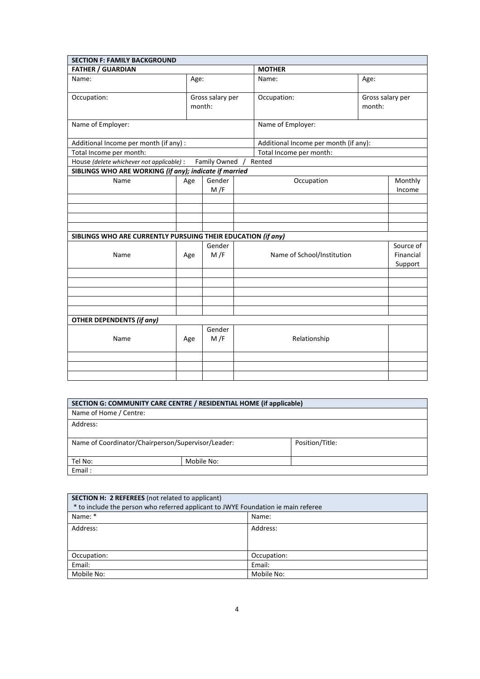| <b>SECTION F: FAMILY BACKGROUND</b>                          |                            |               |  |                                       |                            |                                   |
|--------------------------------------------------------------|----------------------------|---------------|--|---------------------------------------|----------------------------|-----------------------------------|
| <b>FATHER / GUARDIAN</b>                                     |                            | <b>MOTHER</b> |  |                                       |                            |                                   |
| Name:                                                        |                            | Age:          |  | Name:                                 | Age:                       |                                   |
| Occupation:                                                  | Gross salary per<br>month: |               |  | Occupation:                           | Gross salary per<br>month: |                                   |
| Name of Employer:                                            |                            |               |  | Name of Employer:                     |                            |                                   |
| Additional Income per month (if any) :                       |                            |               |  | Additional Income per month (if any): |                            |                                   |
| Total Income per month:                                      |                            |               |  | Total Income per month:               |                            |                                   |
| House (delete whichever not applicable) :                    |                            | Family Owned  |  | Rented                                |                            |                                   |
| SIBLINGS WHO ARE WORKING (if any); indicate if married       |                            |               |  |                                       |                            |                                   |
| Name                                                         | Age                        | Gender<br>M/F |  | Occupation                            |                            | Monthly<br>Income                 |
|                                                              |                            |               |  |                                       |                            |                                   |
|                                                              |                            |               |  |                                       |                            |                                   |
|                                                              |                            |               |  |                                       |                            |                                   |
| SIBLINGS WHO ARE CURRENTLY PURSUING THEIR EDUCATION (if any) |                            |               |  |                                       |                            |                                   |
| Name                                                         | Age                        | Gender<br>M/F |  | Name of School/Institution            |                            | Source of<br>Financial<br>Support |
|                                                              |                            |               |  |                                       |                            |                                   |
|                                                              |                            |               |  |                                       |                            |                                   |
|                                                              |                            |               |  |                                       |                            |                                   |
|                                                              |                            |               |  |                                       |                            |                                   |
|                                                              |                            |               |  |                                       |                            |                                   |
| <b>OTHER DEPENDENTS (if any)</b>                             |                            |               |  |                                       |                            |                                   |
| Name                                                         | Age                        | Gender<br>M/F |  | Relationship                          |                            |                                   |
|                                                              |                            |               |  |                                       |                            |                                   |
|                                                              |                            |               |  |                                       |                            |                                   |
|                                                              |                            |               |  |                                       |                            |                                   |

| SECTION G: COMMUNITY CARE CENTRE / RESIDENTIAL HOME (if applicable)   |            |  |  |  |
|-----------------------------------------------------------------------|------------|--|--|--|
| Name of Home / Centre:                                                |            |  |  |  |
| Address:                                                              |            |  |  |  |
|                                                                       |            |  |  |  |
| Name of Coordinator/Chairperson/Supervisor/Leader:<br>Position/Title: |            |  |  |  |
|                                                                       |            |  |  |  |
| Tel No:                                                               | Mobile No: |  |  |  |
| Email:                                                                |            |  |  |  |

| SECTION H: 2 REFEREES (not related to applicant)<br>* to include the person who referred applicant to JWYE Foundation ie main referee |             |  |
|---------------------------------------------------------------------------------------------------------------------------------------|-------------|--|
| Name: *                                                                                                                               | Name:       |  |
| Address:                                                                                                                              | Address:    |  |
| Occupation:                                                                                                                           | Occupation: |  |
| Email:                                                                                                                                | Email:      |  |
| Mobile No:                                                                                                                            | Mobile No:  |  |